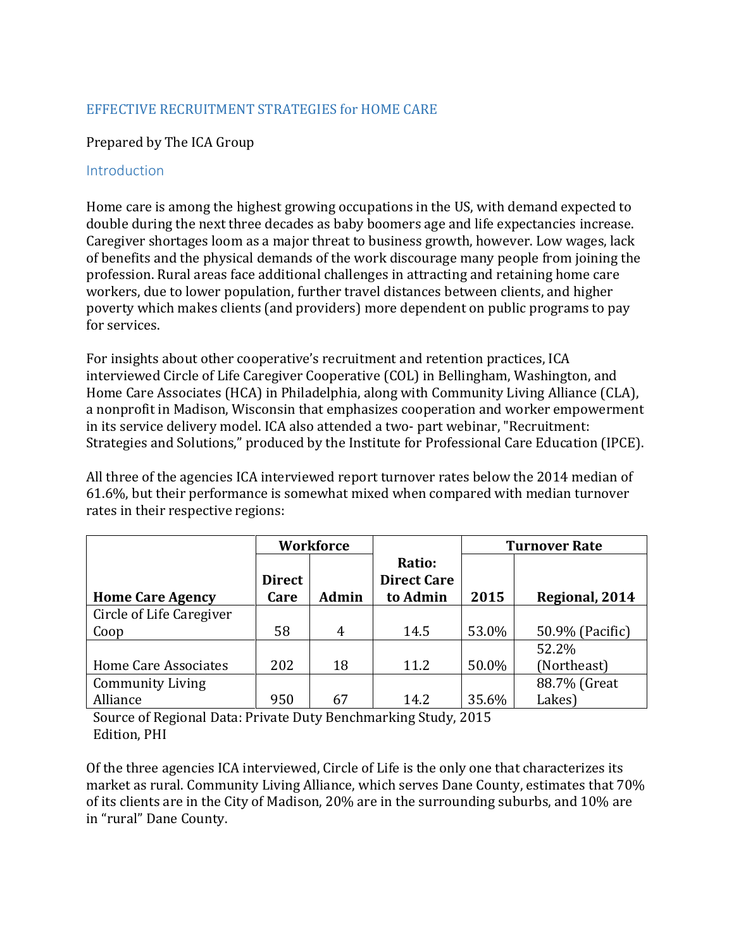# EFFECTIVE RECRUITMENT STRATEGIES for HOME CARE

#### Prepared by The ICA Group

#### Introduction

Home care is among the highest growing occupations in the US, with demand expected to double during the next three decades as baby boomers age and life expectancies increase. Caregiver shortages loom as a major threat to business growth, however. Low wages, lack of benefits and the physical demands of the work discourage many people from joining the profession. Rural areas face additional challenges in attracting and retaining home care workers, due to lower population, further travel distances between clients, and higher poverty which makes clients (and providers) more dependent on public programs to pay for services.

For insights about other cooperative's recruitment and retention practices, ICA interviewed Circle of Life Caregiver Cooperative (COL) in Bellingham, Washington, and Home Care Associates (HCA) in Philadelphia, along with Community Living Alliance (CLA), a nonprofit in Madison, Wisconsin that emphasizes cooperation and worker empowerment in its service delivery model. ICA also attended a two- part webinar, "Recruitment: Strategies and Solutions," produced by the Institute for Professional Care Education (IPCE).

All three of the agencies ICA interviewed report turnover rates below the 2014 median of 61.6%, but their performance is somewhat mixed when compared with median turnover rates in their respective regions:

|                          | Workforce             |              |                                          | <b>Turnover Rate</b> |                 |
|--------------------------|-----------------------|--------------|------------------------------------------|----------------------|-----------------|
| <b>Home Care Agency</b>  | <b>Direct</b><br>Care | <b>Admin</b> | Ratio:<br><b>Direct Care</b><br>to Admin | 2015                 | Regional, 2014  |
| Circle of Life Caregiver |                       |              |                                          |                      |                 |
| Coop                     | 58                    | 4            | 14.5                                     | 53.0%                | 50.9% (Pacific) |
|                          |                       |              |                                          |                      | 52.2%           |
| Home Care Associates     | 202                   | 18           | 11.2                                     | 50.0%                | (Northeast)     |
| <b>Community Living</b>  |                       |              |                                          |                      | 88.7% (Great    |
| Alliance                 | 950                   | 67           | 14.2                                     | 35.6%                | Lakes)          |

Source of Regional Data: Private Duty Benchmarking Study, 2015 Edition, PHI

Of the three agencies ICA interviewed, Circle of Life is the only one that characterizes its market as rural. Community Living Alliance, which serves Dane County, estimates that 70% of its clients are in the City of Madison, 20% are in the surrounding suburbs, and 10% are in "rural" Dane County.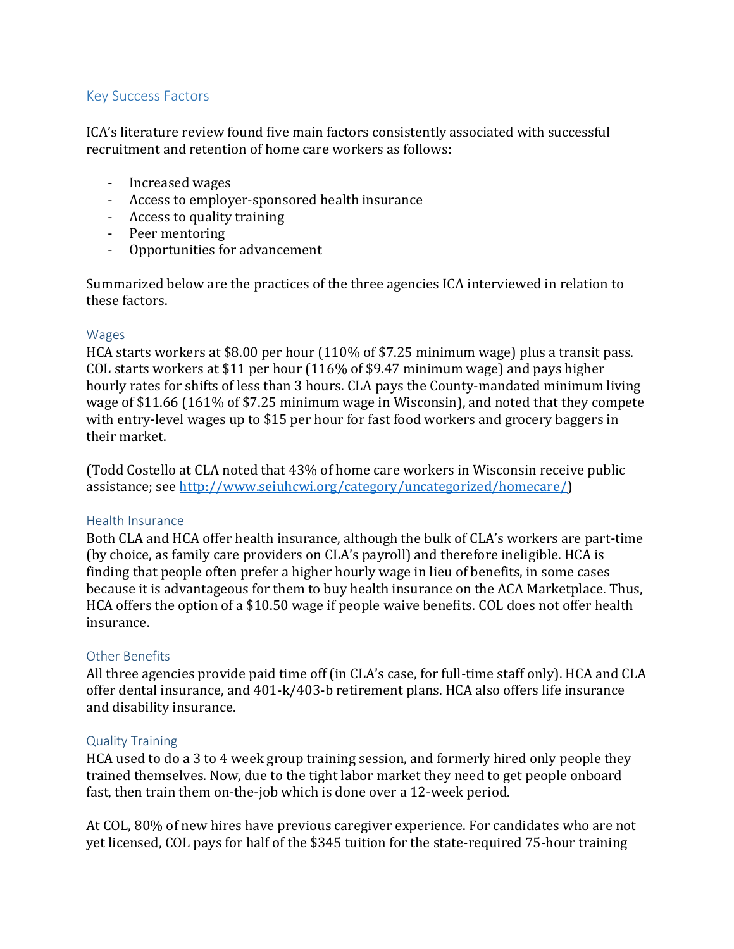# Key Success Factors

ICA's literature review found five main factors consistently associated with successful recruitment and retention of home care workers as follows:

- Increased wages
- Access to employer-sponsored health insurance
- Access to quality training
- Peer mentoring
- Opportunities for advancement

Summarized below are the practices of the three agencies ICA interviewed in relation to these factors.

#### Wages

HCA starts workers at \$8.00 per hour (110% of \$7.25 minimum wage) plus a transit pass. COL starts workers at \$11 per hour (116% of \$9.47 minimum wage) and pays higher hourly rates for shifts of less than 3 hours. CLA pays the County-mandated minimum living wage of \$11.66 (161% of \$7.25 minimum wage in Wisconsin), and noted that they compete with entry-level wages up to \$15 per hour for fast food workers and grocery baggers in their market.

(Todd Costello at CLA noted that 43% of home care workers in Wisconsin receive public assistance; se[e http://www.seiuhcwi.org/category/uncategorized/homecare/\)](http://www.seiuhcwi.org/category/uncategorized/homecare/)

#### Health Insurance

Both CLA and HCA offer health insurance, although the bulk of CLA's workers are part-time (by choice, as family care providers on CLA's payroll) and therefore ineligible. HCA is finding that people often prefer a higher hourly wage in lieu of benefits, in some cases because it is advantageous for them to buy health insurance on the ACA Marketplace. Thus, HCA offers the option of a \$10.50 wage if people waive benefits. COL does not offer health insurance.

# Other Benefits

All three agencies provide paid time off (in CLA's case, for full-time staff only). HCA and CLA offer dental insurance, and 401-k/403-b retirement plans. HCA also offers life insurance and disability insurance.

#### Quality Training

HCA used to do a 3 to 4 week group training session, and formerly hired only people they trained themselves. Now, due to the tight labor market they need to get people onboard fast, then train them on-the-job which is done over a 12-week period.

At COL, 80% of new hires have previous caregiver experience. For candidates who are not yet licensed, COL pays for half of the \$345 tuition for the state-required 75-hour training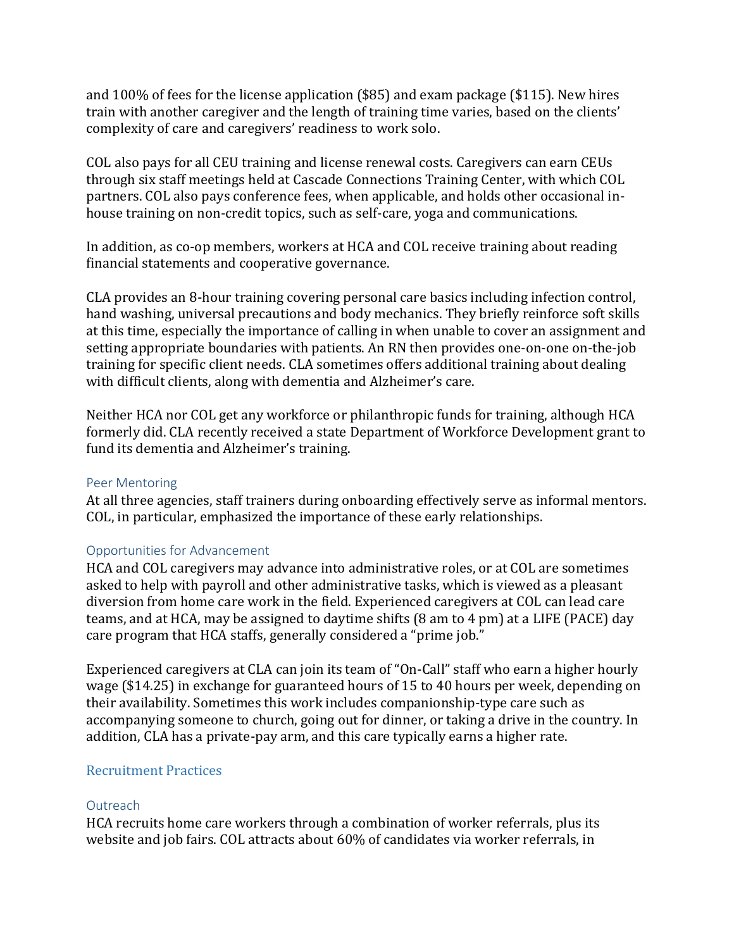and 100% of fees for the license application (\$85) and exam package (\$115). New hires train with another caregiver and the length of training time varies, based on the clients' complexity of care and caregivers' readiness to work solo.

COL also pays for all CEU training and license renewal costs. Caregivers can earn CEUs through six staff meetings held at Cascade Connections Training Center, with which COL partners. COL also pays conference fees, when applicable, and holds other occasional inhouse training on non-credit topics, such as self-care, yoga and communications.

In addition, as co-op members, workers at HCA and COL receive training about reading financial statements and cooperative governance.

CLA provides an 8-hour training covering personal care basics including infection control, hand washing, universal precautions and body mechanics. They briefly reinforce soft skills at this time, especially the importance of calling in when unable to cover an assignment and setting appropriate boundaries with patients. An RN then provides one-on-one on-the-job training for specific client needs. CLA sometimes offers additional training about dealing with difficult clients, along with dementia and Alzheimer's care.

Neither HCA nor COL get any workforce or philanthropic funds for training, although HCA formerly did. CLA recently received a state Department of Workforce Development grant to fund its dementia and Alzheimer's training.

#### Peer Mentoring

At all three agencies, staff trainers during onboarding effectively serve as informal mentors. COL, in particular, emphasized the importance of these early relationships.

# Opportunities for Advancement

HCA and COL caregivers may advance into administrative roles, or at COL are sometimes asked to help with payroll and other administrative tasks, which is viewed as a pleasant diversion from home care work in the field. Experienced caregivers at COL can lead care teams, and at HCA, may be assigned to daytime shifts (8 am to 4 pm) at a LIFE (PACE) day care program that HCA staffs, generally considered a "prime job."

Experienced caregivers at CLA can join its team of "On-Call" staff who earn a higher hourly wage (\$14.25) in exchange for guaranteed hours of 15 to 40 hours per week, depending on their availability. Sometimes this work includes companionship-type care such as accompanying someone to church, going out for dinner, or taking a drive in the country. In addition, CLA has a private-pay arm, and this care typically earns a higher rate.

# Recruitment Practices

#### **Outreach**

HCA recruits home care workers through a combination of worker referrals, plus its website and job fairs. COL attracts about 60% of candidates via worker referrals, in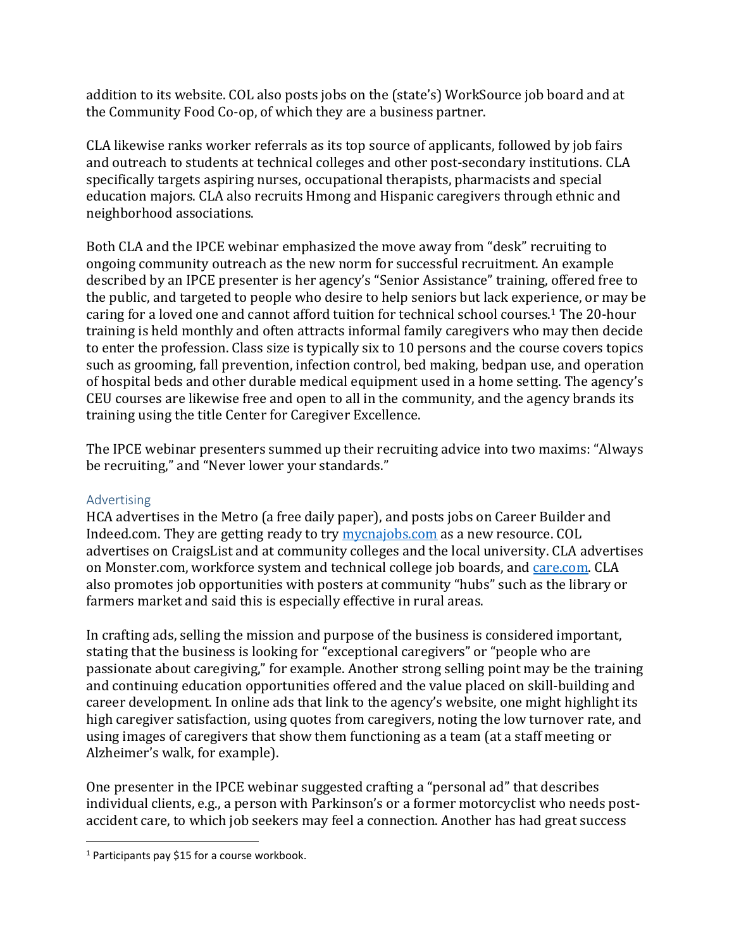addition to its website. COL also posts jobs on the (state's) WorkSource job board and at the Community Food Co-op, of which they are a business partner.

CLA likewise ranks worker referrals as its top source of applicants, followed by job fairs and outreach to students at technical colleges and other post-secondary institutions. CLA specifically targets aspiring nurses, occupational therapists, pharmacists and special education majors. CLA also recruits Hmong and Hispanic caregivers through ethnic and neighborhood associations.

Both CLA and the IPCE webinar emphasized the move away from "desk" recruiting to ongoing community outreach as the new norm for successful recruitment. An example described by an IPCE presenter is her agency's "Senior Assistance" training, offered free to the public, and targeted to people who desire to help seniors but lack experience, or may be caring for a loved one and cannot afford tuition for technical school courses.<sup>1</sup> The 20-hour training is held monthly and often attracts informal family caregivers who may then decide to enter the profession. Class size is typically six to 10 persons and the course covers topics such as grooming, fall prevention, infection control, bed making, bedpan use, and operation of hospital beds and other durable medical equipment used in a home setting. The agency's CEU courses are likewise free and open to all in the community, and the agency brands its training using the title Center for Caregiver Excellence.

The IPCE webinar presenters summed up their recruiting advice into two maxims: "Always be recruiting," and "Never lower your standards."

# Advertising

 $\overline{a}$ 

HCA advertises in the Metro (a free daily paper), and posts jobs on Career Builder and Indeed.com. They are getting ready to try [mycnajobs.com](http://www.mycnajobs.com/) as a new resource. COL advertises on CraigsList and at community colleges and the local university. CLA advertises on Monster.com, workforce system and technical college job boards, and [care.com.](https://www.care.com/) CLA also promotes job opportunities with posters at community "hubs" such as the library or farmers market and said this is especially effective in rural areas.

In crafting ads, selling the mission and purpose of the business is considered important, stating that the business is looking for "exceptional caregivers" or "people who are passionate about caregiving," for example. Another strong selling point may be the training and continuing education opportunities offered and the value placed on skill-building and career development. In online ads that link to the agency's website, one might highlight its high caregiver satisfaction, using quotes from caregivers, noting the low turnover rate, and using images of caregivers that show them functioning as a team (at a staff meeting or Alzheimer's walk, for example).

One presenter in the IPCE webinar suggested crafting a "personal ad" that describes individual clients, e.g., a person with Parkinson's or a former motorcyclist who needs postaccident care, to which job seekers may feel a connection. Another has had great success

<sup>&</sup>lt;sup>1</sup> Participants pay \$15 for a course workbook.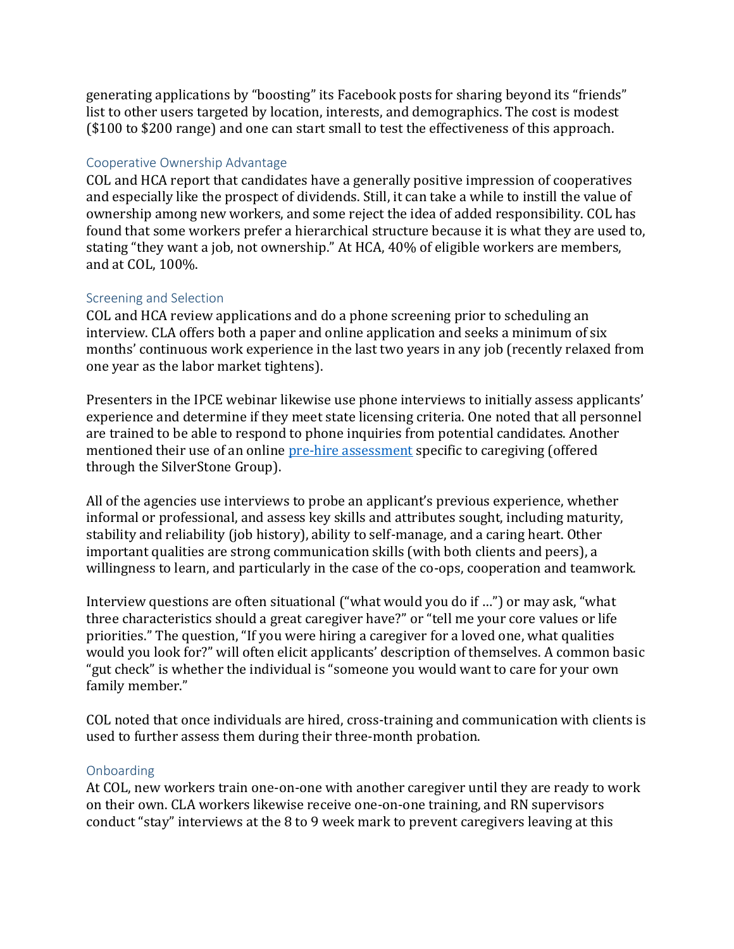generating applications by "boosting" its Facebook posts for sharing beyond its "friends" list to other users targeted by location, interests, and demographics. The cost is modest (\$100 to \$200 range) and one can start small to test the effectiveness of this approach.

# Cooperative Ownership Advantage

COL and HCA report that candidates have a generally positive impression of cooperatives and especially like the prospect of dividends. Still, it can take a while to instill the value of ownership among new workers, and some reject the idea of added responsibility. COL has found that some workers prefer a hierarchical structure because it is what they are used to, stating "they want a job, not ownership." At HCA, 40% of eligible workers are members, and at COL, 100%.

# Screening and Selection

COL and HCA review applications and do a phone screening prior to scheduling an interview. CLA offers both a paper and online application and seeks a minimum of six months' continuous work experience in the last two years in any job (recently relaxed from one year as the labor market tightens).

Presenters in the IPCE webinar likewise use phone interviews to initially assess applicants' experience and determine if they meet state licensing criteria. One noted that all personnel are trained to be able to respond to phone inquiries from potential candidates. Another mentioned their use of an onlin[e pre-hire assessment](http://www.silverstonegroup.com/risk-management/industry-specialization/in-home-care/care-series/) specific to caregiving (offered through the SilverStone Group).

All of the agencies use interviews to probe an applicant's previous experience, whether informal or professional, and assess key skills and attributes sought, including maturity, stability and reliability (job history), ability to self-manage, and a caring heart. Other important qualities are strong communication skills (with both clients and peers), a willingness to learn, and particularly in the case of the co-ops, cooperation and teamwork.

Interview questions are often situational ("what would you do if …") or may ask, "what three characteristics should a great caregiver have?" or "tell me your core values or life priorities." The question, "If you were hiring a caregiver for a loved one, what qualities would you look for?" will often elicit applicants' description of themselves. A common basic "gut check" is whether the individual is "someone you would want to care for your own family member."

COL noted that once individuals are hired, cross-training and communication with clients is used to further assess them during their three-month probation.

# Onboarding

At COL, new workers train one-on-one with another caregiver until they are ready to work on their own. CLA workers likewise receive one-on-one training, and RN supervisors conduct "stay" interviews at the 8 to 9 week mark to prevent caregivers leaving at this